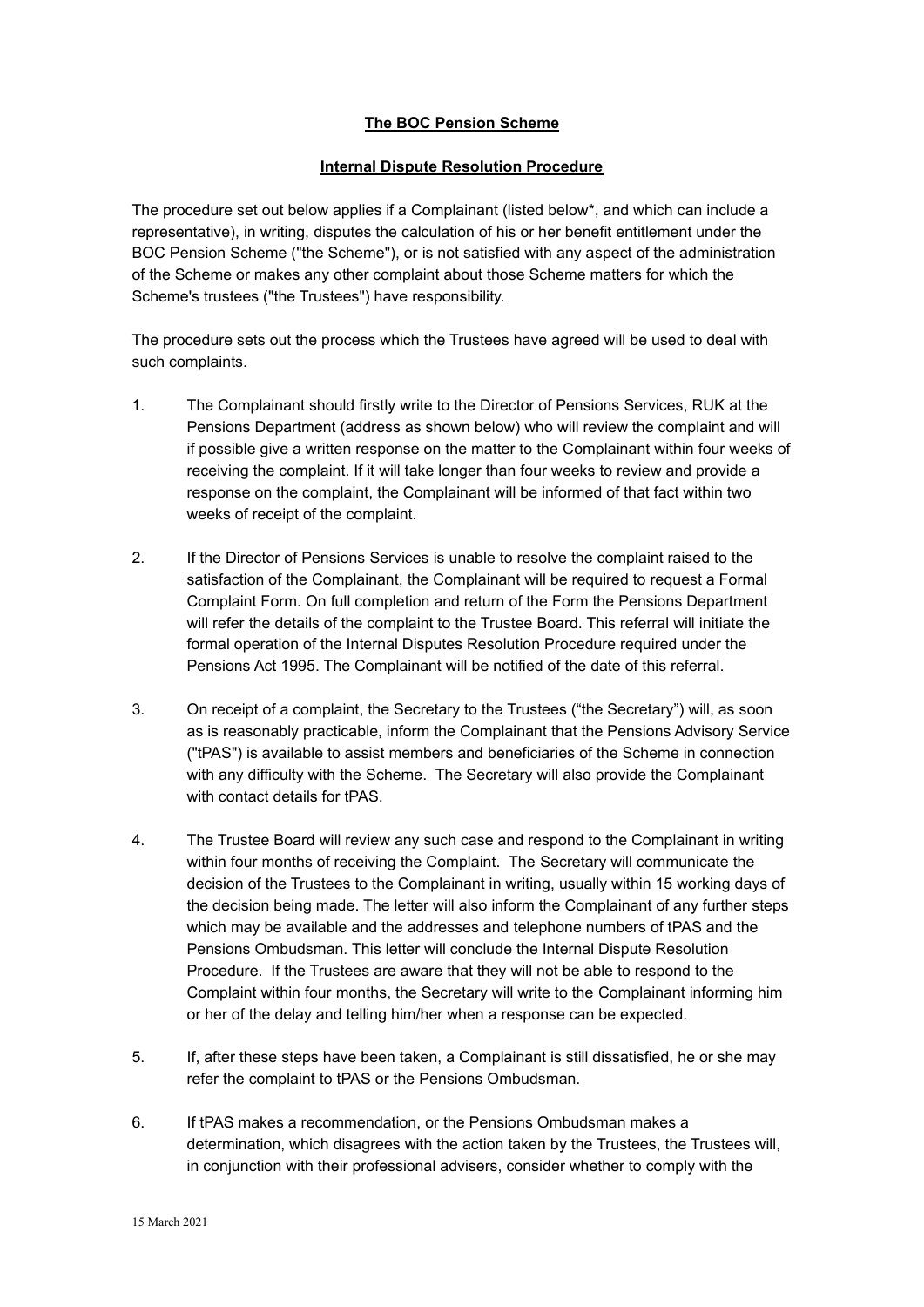## **The BOC Pension Scheme**

### **Internal Dispute Resolution Procedure**

The procedure set out below applies if a Complainant (listed below\*, and which can include a representative), in writing, disputes the calculation of his or her benefit entitlement under the BOC Pension Scheme ("the Scheme"), or is not satisfied with any aspect of the administration of the Scheme or makes any other complaint about those Scheme matters for which the Scheme's trustees ("the Trustees") have responsibility.

The procedure sets out the process which the Trustees have agreed will be used to deal with such complaints.

- 1. The Complainant should firstly write to the Director of Pensions Services, RUK at the Pensions Department (address as shown below) who will review the complaint and will if possible give a written response on the matter to the Complainant within four weeks of receiving the complaint. If it will take longer than four weeks to review and provide a response on the complaint, the Complainant will be informed of that fact within two weeks of receipt of the complaint.
- 2. If the Director of Pensions Services is unable to resolve the complaint raised to the satisfaction of the Complainant, the Complainant will be required to request a Formal Complaint Form. On full completion and return of the Form the Pensions Department will refer the details of the complaint to the Trustee Board. This referral will initiate the formal operation of the Internal Disputes Resolution Procedure required under the Pensions Act 1995. The Complainant will be notified of the date of this referral.
- 3. On receipt of a complaint, the Secretary to the Trustees ("the Secretary") will, as soon as is reasonably practicable, inform the Complainant that the Pensions Advisory Service ("tPAS") is available to assist members and beneficiaries of the Scheme in connection with any difficulty with the Scheme. The Secretary will also provide the Complainant with contact details for tPAS.
- 4. The Trustee Board will review any such case and respond to the Complainant in writing within four months of receiving the Complaint. The Secretary will communicate the decision of the Trustees to the Complainant in writing, usually within 15 working days of the decision being made. The letter will also inform the Complainant of any further steps which may be available and the addresses and telephone numbers of tPAS and the Pensions Ombudsman. This letter will conclude the Internal Dispute Resolution Procedure. If the Trustees are aware that they will not be able to respond to the Complaint within four months, the Secretary will write to the Complainant informing him or her of the delay and telling him/her when a response can be expected.
- 5. If, after these steps have been taken, a Complainant is still dissatisfied, he or she may refer the complaint to tPAS or the Pensions Ombudsman.
- 6. If tPAS makes a recommendation, or the Pensions Ombudsman makes a determination, which disagrees with the action taken by the Trustees, the Trustees will, in conjunction with their professional advisers, consider whether to comply with the